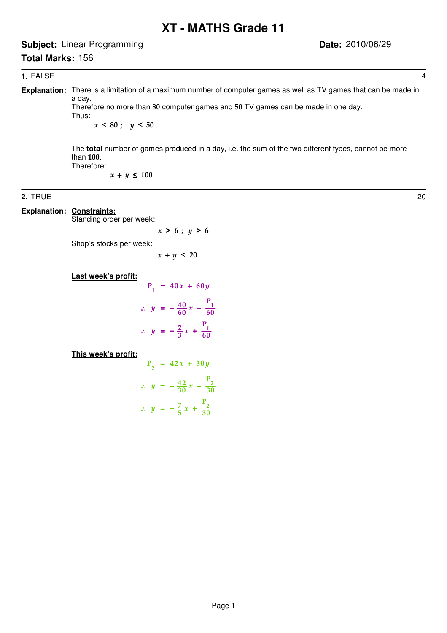# **XT - MATHS Grade 11**

**Subject:** Linear Programming

# **Total Marks:** 156

#### **1.** FALSE 4

**Explanation:** There is a limitation of a maximum number of computer games as well as TV games that can be made in a day.

Therefore no more than 80 computer games and 50 TV games can be made in one day. Thus:

 $x \leq 80$  ;  $y \leq 50$ 

The **total** number of games produced in a day, i.e. the sum of the two different types, cannot be more than 100. Therefore:

 $x + y \leq 100$ 

#### **2.** TRUE 20

**Explanation: Constraints:** 

Standing order per week:

 $x \ge 6$ ;  $y \ge 6$ 

Shop's stocks per week:

 $x + y \leq 20$ 

**Last week's profit:**

$$
P_1 = 40x + 60y
$$
  
\n
$$
\therefore y = -\frac{40}{60}x + \frac{P_1}{60}
$$
  
\n
$$
\therefore y = -\frac{2}{3}x + \frac{P_1}{60}
$$

**This week's profit:**

$$
P_2 = 42x + 30y
$$
  

$$
\therefore y = -\frac{42}{30}x + \frac{P_2}{30}
$$
  

$$
\therefore y = -\frac{7}{5}x + \frac{P_2}{30}
$$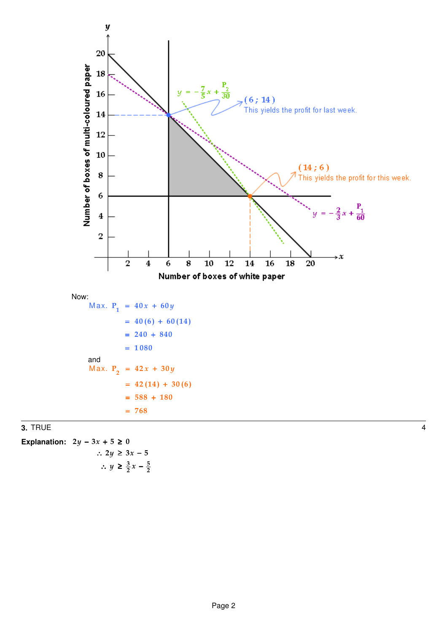

 $\frac{3}{2}$   $\sim$   $\frac{5}{2}$  $\therefore$   $y \geq \frac{3}{2}x - \frac{5}{2}$ Explanation:  $2y - 3x + 5 \ge 0$ ∴ 2 $y \ge 3x - 5$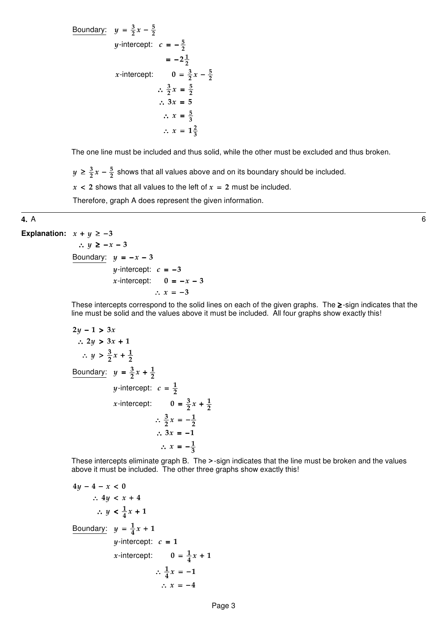Boundary:  $y = \frac{3}{2}x - \frac{5}{2}$ -intercept:  $c = -\frac{5}{2}$ -intercept:  $0 = \frac{3}{2}x - \frac{5}{2}$  $y = \frac{3}{2}x - \frac{5}{2}$ *y*-intercept:  $c = -\frac{5}{2}$ 1  $=-2\frac{1}{2}$ x-intercept:  $0 = \frac{3}{2}x - \frac{5}{2}$  $\frac{3}{x}$   $\frac{5}{x}$  $\therefore \frac{3}{2}x = \frac{5}{2}$ 5  $\therefore$   $x = \frac{5}{3}$ 2  $\therefore x = 1\frac{2}{3}$  $\therefore$  3x = 5

The one line must be included and thus solid, while the other must be excluded and thus broken.

 $\frac{3}{2}$   $\sim$   $\frac{5}{2}$  $y \geq \frac{3}{2}x - \frac{5}{2}$  shows that all values above and on its boundary should be included.

 $x < 2$  shows that all values to the left of  $x = 2$  must be included.

Therefore, graph A does represent the given information.

#### **4.** A 6

```
Explanation: x + y \ge -3\therefore y \geq -x-3Boundary: y = -x - 3y-intercept: c = -3x-intercept: 0 = -x - 3\therefore x = -3
```
These intercepts correspond to the solid lines on each of the given graphs. The ≥-sign indicates that the line must be solid and the values above it must be included. All four graphs show exactly this!

$$
2y - 1 > 3x
$$
  
\n
$$
\therefore 2y > 3x + 1
$$
  
\n
$$
\therefore y > \frac{3}{2}x + \frac{1}{2}
$$
  
\nBoundary:  $y = \frac{3}{2}x + \frac{1}{2}$   
\n $y$ -intercept:  $c = \frac{1}{2}$   
\n $x$ -intercept:  $0 = \frac{3}{2}x + \frac{1}{2}$   
\n $\therefore \frac{3}{2}x = -\frac{1}{2}$   
\n $\therefore 3x = -1$   
\n $\therefore x = -\frac{1}{3}$ 

These intercepts eliminate graph B. The >-sign indicates that the line must be broken and the values above it must be included. The other three graphs show exactly this!

$$
4y - 4 - x < 0
$$
\n
$$
\therefore 4y < x + 4
$$
\n
$$
\therefore y < \frac{1}{4}x + 1
$$
\nBoundary:  $y = \frac{1}{4}x + 1$ 

\n $y$ -intercept:  $c = 1$ 

\n $x$ -intercept:  $0 = \frac{1}{4}x + 1$ 

\n
$$
\therefore \frac{1}{4}x = -1
$$
\n
$$
\therefore x = -4
$$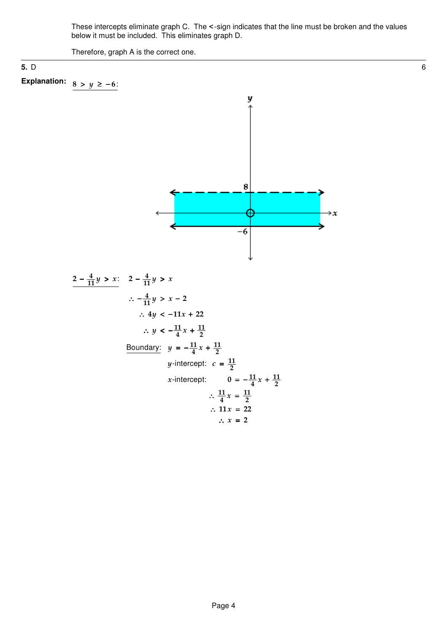These intercepts eliminate graph C. The <-sign indicates that the line must be broken and the values below it must be included. This eliminates graph D.

Therefore, graph A is the correct one.

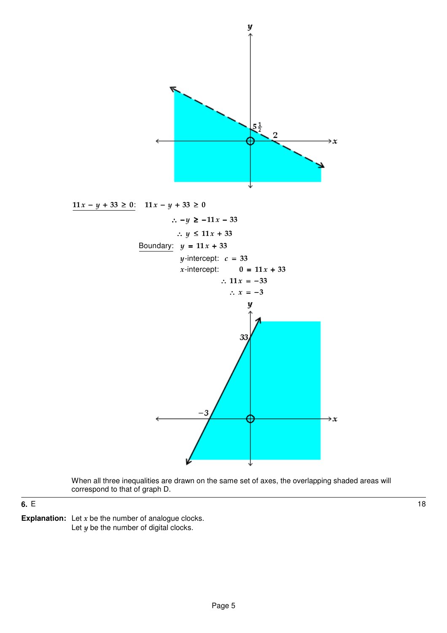

When all three inequalities are drawn on the same set of axes, the overlapping shaded areas will correspond to that of graph D.

**6.** E 18

**Explanation:** Let  $x$  be the number of analogue clocks. Let  $y$  be the number of digital clocks.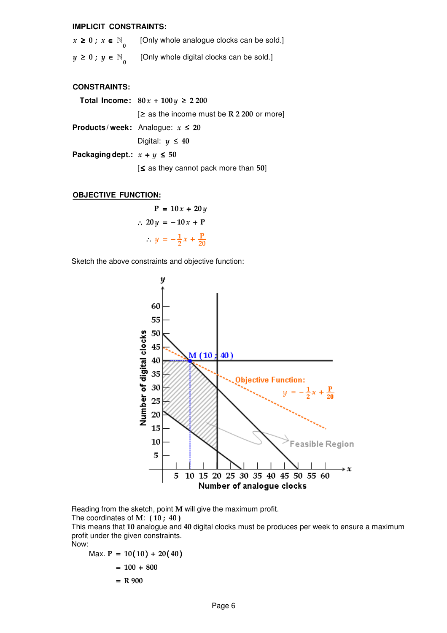#### **IMPLICIT CONSTRAINTS:**

| $x \geq 0$ ; $x \in \mathbb{N}$ | [Only whole analogue clocks can be sold.] |
|---------------------------------|-------------------------------------------|
| $y \geq 0$ ; $y \in \mathbb{N}$ | [Only whole digital clocks can be sold.]  |

#### **CONSTRAINTS:**

|                                 | Total Income: $80x + 100y$ ≥ 2200             |
|---------------------------------|-----------------------------------------------|
|                                 | $\geq$ as the income must be R 2 200 or more] |
|                                 | <b>Products/week:</b> Analogue: $x \le 20$    |
|                                 | Digital: $y \leq 40$                          |
| Packaging dept.: $x + y \le 50$ |                                               |
|                                 | $\leq$ as they cannot pack more than 50]      |
|                                 |                                               |

#### **OBJECTIVE FUNCTION:**

$$
P = 10x + 20y
$$
  
\n
$$
\therefore 20y = -10x + P
$$
  
\n
$$
\therefore y = -\frac{1}{2}x + \frac{P}{20}
$$

Sketch the above constraints and objective function:



Reading from the sketch, point M will give the maximum profit.

The coordinates of M:  $(10; 40)$ 

This means that 10 analogue and 40 digital clocks must be produces per week to ensure a maximum profit under the given constraints.

Now:

$$
Max. P = 10(10) + 20(40)
$$
  
= 100 + 800

$$
\begin{array}{c}\n 1000 \\
 \hline\n 000\n \end{array}
$$

$$
= R 900
$$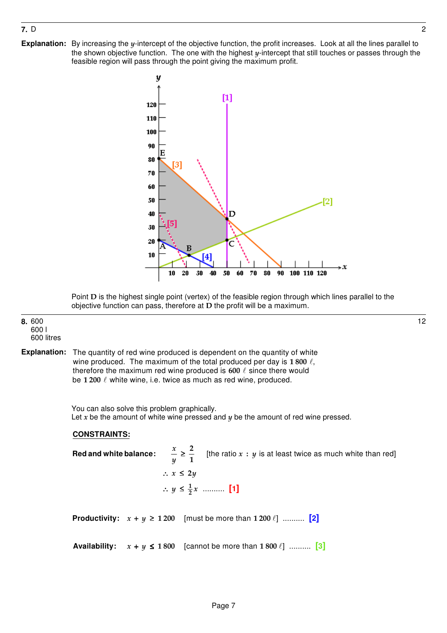# **7.** D 2

**Explanation:** By increasing the y-intercept of the objective function, the profit increases. Look at all the lines parallel to the shown objective function. The one with the highest  $y$ -intercept that still touches or passes through the feasible region will pass through the point giving the maximum profit.



Point D is the highest single point (vertex) of the feasible region through which lines parallel to the objective function can pass, therefore at D the profit will be a maximum.

#### **8.** 600 600 l 600 litres

wine produced. The maximum of the total produced per day is 1 800  $\ell,$ therefore the maximum red wine produced is 600  $\ell$  since there would The quantity of red wine produced is dependent on the quantity of white be 1 200  $\ell$  white wine, i.e. twice as much as red wine, produced. **Explanation:**

> You can also solve this problem graphically. Let  $x$  be the amount of white wine pressed and  $y$  be the amount of red wine pressed.

## **CONSTRAINTS:**

[the ratio  $x : y$  is at least twice as much white than red] ∴  $y \leq \frac{1}{2}x$  .......... [1] **Productivity:**  $x + y \ge 1200$  [must be more than  $1200 \ell$ ] .......... [2] **Red and white balance: Availability:**  $x + y \le 1800$  [cannot be more than  $1800 \ell$ ] .......... [3]  $\geq \frac{2}{7}$ ∴  $x \leq 2y$  $y \leq \frac{1}{2}x$ 1 x y

12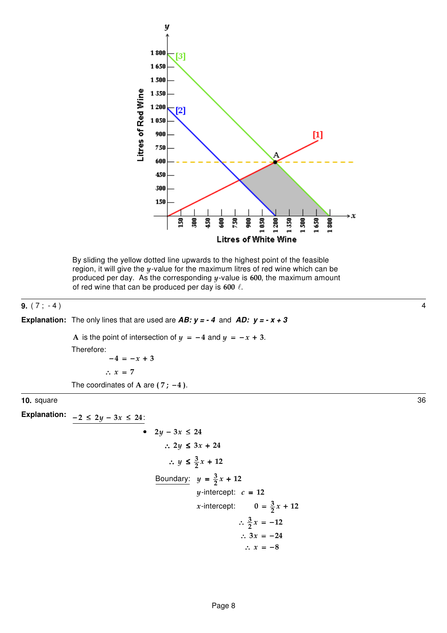



**9.** (7; -4) 4

**Explanation:** The only lines that are used are  $AB: y = -4$  and  $AD: y = -x + 3$ 

A is the point of intersection of  $y = -4$  and  $y = -x + 3$ . Therefore:  $-4 = -x + 3$  $\therefore$   $x = 7$ The coordinates of A are  $(7; -4)$ .

**10.** square 36

 $-2 \leq 2y - 3x \leq 24$ : 3  $\therefore$   $y \leq \frac{3}{2}x + 12$ •  $2y - 3x \le 24$ ∴ 2y ≤ 3x + 24 Boundary:  $y = \frac{3}{2}$  $y$ -intercept:  $c = 12$ -intercept:  $0 = \frac{3}{2}$  $y = \frac{3}{2}x + 12$ x-intercept:  $0 = \frac{3}{2}x + 12$ 3  $\therefore \frac{3}{2}x = -12$  $\therefore$  3x = -24  $\therefore$   $x = -8$ **Explanation:**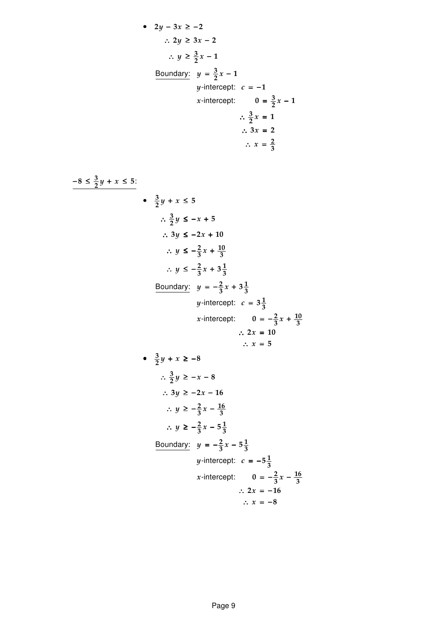• 
$$
2y - 3x \ge -2
$$
  
\n∴  $2y \ge 3x - 2$   
\n∴  $y \ge \frac{3}{2}x - 1$   
\nBoundary:  $y = \frac{3}{2}x - 1$   
\n $y$ -intercept:  $c = -1$   
\n $x$ -intercept:  $0 = \frac{3}{2}x - 1$   
\n∴  $\frac{3}{2}x = 1$   
\n∴  $3x = 2$   
\n∴  $3x = 2$   
\n∴  $x = \frac{2}{3}$   
\n $\Rightarrow \frac{3}{2}y + x \le 5$   
\n∴  $\frac{3}{2}y \le -x + 5$   
\n∴  $3y \le -2x + 10$   
\n∴  $y \le -\frac{2}{3}x + 3\frac{1}{3}$   
\n∴  $y \le -\frac{2}{3}x + 3\frac{1}{3}$   
\n  
\n**Boundary:**  $y = -\frac{2}{3}x + 3\frac{1}{3}$   
\n $x$ -intercept:  $c = 3\frac{1}{3}$   
\n∴  $2x = 10$   
\n∴  $x = 5$   
\n $\Rightarrow \frac{3}{2}y + x \ge -8$   
\n∴  $\frac{3}{2}y \ge -x - 8$   
\n∴  $\frac{3}{2}y \ge -x - 8$   
\n∴  $\frac{3}{2}y \ge -x - 8$   
\n∴  $y \ge -\frac{2}{3}x - \frac{16}{3}$   
\n∴  $y \ge -\frac{2}{3}x - \frac{5}{3}$   
\n  
\n**Boundary:**  $y = -\frac{2}{3}x - 5\frac{1}{3}$   
\n  
\n**Boundary:**  $y = -\frac{2}{3}x - 5\frac{1}{3}$   
\n $x$ -intercept:  $c = -5\frac{1}{3}$   
\n $x$ -intercept:  $c = -5\frac{1}{3}$   
\n $x$ -intercept:  $0 = -\frac{2}{3}x - \frac{16}{3}$   
\n∴  $2x = -16$ 

∴  $x = -8$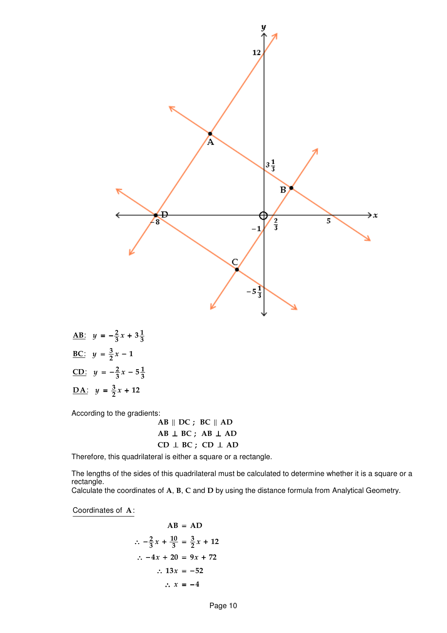

:  $y = -\frac{2}{3}x + 3\frac{1}{2}$  $y = \frac{3}{2}$ :  $y = -\frac{2}{3}x - 5\frac{1}{3}$  $y = \frac{3}{2}$ <u>AB</u>:  $y = -\frac{2}{3}x + 3\frac{1}{3}$ <u>BC</u>:  $y = \frac{3}{2}x - 1$ <u>CD</u>:  $y = -\frac{2}{3}x - 5\frac{1}{3}$ <u>DA</u>:  $y = \frac{3}{2}x + 12$ 

According to the gradients:

 $AB \parallel DC$ ; BC $\parallel AD$  $AB \perp BC$ ;  $AB \perp AD$  $CD \perp BC$ ;  $CD \perp AD$ 

Therefore, this quadrilateral is either a square or a rectangle.

The lengths of the sides of this quadrilateral must be calculated to determine whether it is a square or a rectangle.

Calculate the coordinates of A, B, C and D by using the distance formula from Analytical Geometry.

Coordinates of  $A$ :

$$
AB = AD
$$
\n
$$
\therefore -\frac{2}{3}x + \frac{10}{3} = \frac{3}{2}x + 12
$$
\n
$$
\therefore -4x + 20 = 9x + 72
$$
\n
$$
\therefore 13x = -52
$$
\n
$$
\therefore x = -4
$$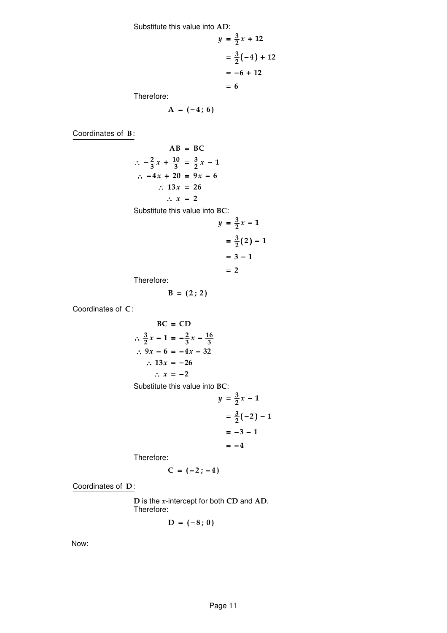Substitute this value into AD:

$$
y = \frac{3}{2}x + 12
$$

$$
= \frac{3}{2}(-4) + 12
$$

$$
= -6 + 12
$$

$$
= 6
$$
Therefore:

Therefore:

$$
A = (-4; 6)
$$

Coordinates of  $B$ :

$$
AB = BC
$$
  
\n
$$
\therefore -\frac{2}{3}x + \frac{10}{3} = \frac{3}{2}x - 1
$$
  
\n
$$
\therefore -4x + 20 = 9x - 6
$$
  
\n
$$
\therefore 13x = 26
$$
  
\n
$$
\therefore x = 2
$$
  
\nSubstitute this value into BC:  
\n
$$
y = \frac{3}{2}x - 1
$$
  
\n
$$
= \frac{3}{2}(2) - 1
$$
  
\n
$$
= 3 - 1
$$

Therefore:

$$
B = (2; 2)
$$

Coordinates of  $C$ :

BC = CD  
\n
$$
\therefore \frac{3}{2}x - 1 = -\frac{2}{3}x - \frac{16}{3}
$$
\n
$$
\therefore 9x - 6 = -4x - 32
$$
\n
$$
\therefore 13x = -26
$$
\n
$$
\therefore x = -2
$$

Substitute this value into BC:

$$
y = \frac{3}{2}x - 1
$$
  
=  $\frac{3}{2}(-2) - 1$   
=  $-3 - 1$   
=  $-4$ 

 $= 2$ 

2 1

Therefore:

$$
C = (-2; -4)
$$

Coordinates of D:

 $D$  is the *x*-intercept for both CD and AD. Therefore:

$$
D = (-8; 0)
$$

Now: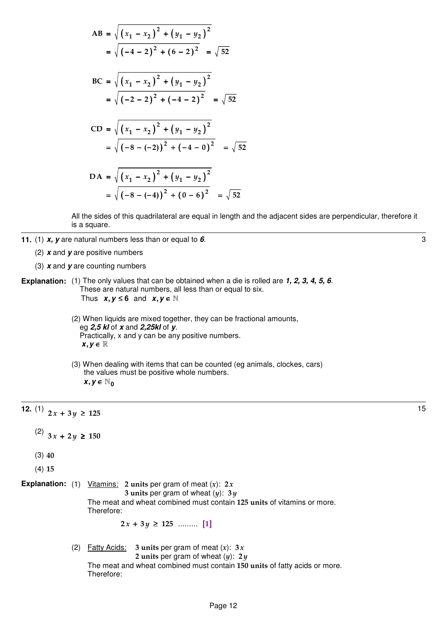$$
AB = \sqrt{(x_1 - x_2)^2 + (y_1 - y_2)^2}
$$
  
=  $\sqrt{(-4 - 2)^2 + (6 - 2)^2} = \sqrt{52}$   

$$
BC = \sqrt{(x_1 - x_2)^2 + (y_1 - y_2)^2}
$$
  
=  $\sqrt{(-2 - 2)^2 + (-4 - 2)^2} = \sqrt{52}$   

$$
CD = \sqrt{(x_1 - x_2)^2 + (y_1 - y_2)^2}
$$
  
=  $\sqrt{(-8 - (-2))^2 + (-4 - 0)^2} = \sqrt{52}$   

$$
DA = \sqrt{(x_1 - x_2)^2 + (y_1 - y_2)^2}
$$
  
=  $\sqrt{(-8 - (-4))^2 + (0 - 6)^2} = \sqrt{52}$ 

All the sides of this quadrilateral are equal in length and the adjacent sides are perpendicular, therefore it is a square.

- **11.** (1) **x**, **y** are natural numbers less than or equal to **6**.  $\bullet$ 
	- (2) **x** and **y** are positive numbers
	- (3) **x** and **y** are counting numbers
- **Explanation:** (1) The only values that can be obtained when a die is rolled are 1, 2, 3, 4, 5, 6. These are natural numbers, all less than or equal to six. Thus  $x, y \leq 6$  and  $x, y \in \mathbb{N}$ 
	- (2) When liquids are mixed together, they can be fractional amounts, eg **2,5 kl** of **x** and **2,25kl** of **y**. Practically, x and y can be any positive numbers.  $x, y \in \mathbb{R}$
	- (3) When dealing with items that can be counted (eg animals, clockes, cars) the values must be positive whole numbers.  $x, y \in \mathbb{N}_0$

**12.** (1)  $2x + 3y \ge 125$ 

- (2)  $3x + 2y \ge 150$
- (3) 40
- (4) 15
- **Explanation:** (1) <u>Vitamins:</u> 2 units per gram of meat  $(x)$ : 2x 3 units per gram of wheat  $(y)$ : 3  $y$

The meat and wheat combined must contain 125 units of vitamins or more. Therefore:

2 3 125 x y + ≥ ......... [ ] 1

(2) Fatty Acids: 3 units per gram of meat  $(x)$ : 3x 2 units per gram of wheat  $(y)$ : 2 $y$ The meat and wheat combined must contain 150 units of fatty acids or more. Therefore: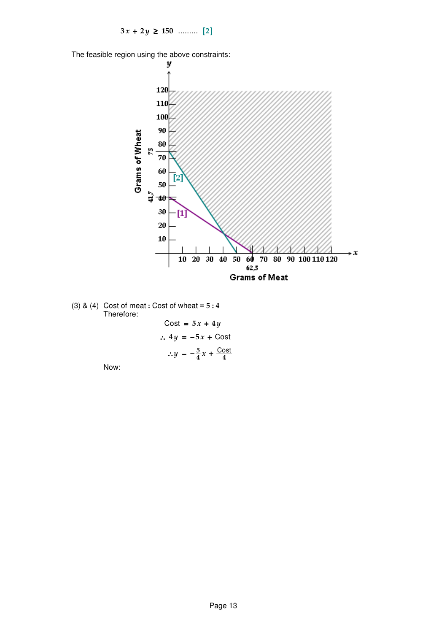$3x + 2y \ge 150$  .......... [2]

The feasible region using the above constraints:



(3) & (4) Cost of meat : Cost of wheat =  $5:4$ Therefore:

Cost = 
$$
5x + 4y
$$
  
\n $\therefore 4y = -5x + \text{Cost}$   
\n $\therefore y = -\frac{5}{4}x + \frac{\text{Cost}}{4}$ 

Now: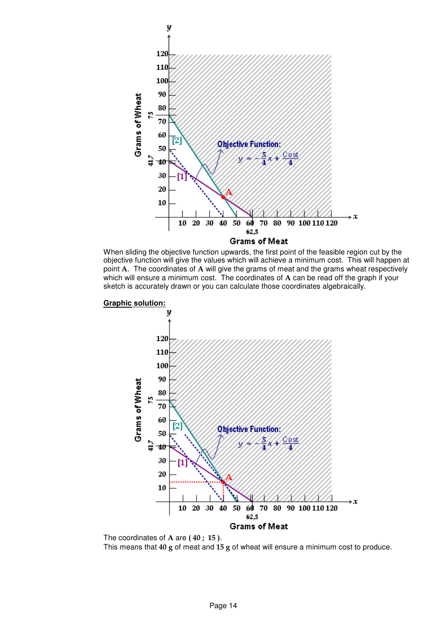





The coordinates of A are (40; 15).

This means that 40 g of meat and 15 g of wheat will ensure a minimum cost to produce.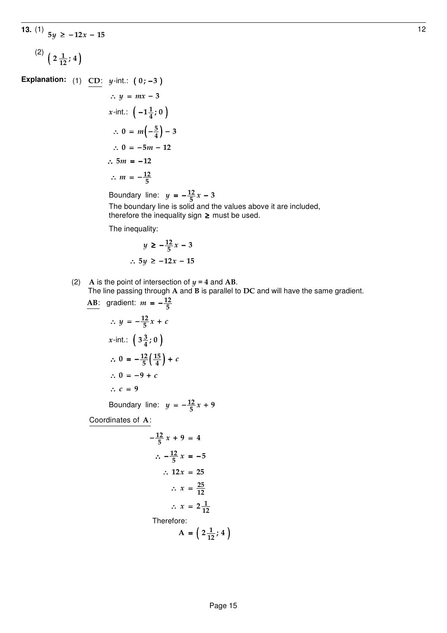# **13.** (1)  $5y$  ≥ −12*x* − 15 12  $^{(2)}$  ( 2 $\frac{1}{12}$ ; 4)

**Explanation:** (1) CD:  $y$ -int.:  $(0; -3)$ 

$$
\therefore y = mx - 3
$$
  
\nx-int.:  $\left(-1\frac{1}{4}; 0\right)$   
\n
$$
\therefore 0 = m\left(-\frac{5}{4}\right) - 3
$$
  
\n
$$
\therefore 0 = -5m - 12
$$
  
\n
$$
\therefore 5m = -12
$$
  
\n
$$
\therefore m = -\frac{12}{5}
$$

<u>12</u> Boundary line:  $y = -\frac{12}{5}x - 3$ 

 The boundary line is solid and the values a bove it are included, therefore the inequality sign  $\geq$  must be used.

The inequality:

$$
y \ge -\frac{12}{5}x - 3
$$
  

$$
\therefore 5y \ge -12x - 15
$$

(2) A is the point of intersection of  $y = 4$  and AB. The line passing through A and B is parallel to DC and will have the same gradient.  $12$ 

$$
\begin{aligned}\n\frac{\text{AB: gradient: } m = -\frac{12}{5} \\
\therefore y = -\frac{12}{5}x + c \\
x\text{-int.: } \left(3\frac{3}{4}; 0\right) \\
\therefore 0 = -\frac{12}{5}\left(\frac{15}{4}\right) + c \\
\therefore 0 = -9 + c \\
\therefore c = 9\n\end{aligned}
$$

<u>12</u> Boundary line:  $y = -\frac{12}{5}x + 9$ 

Coordinates of  $A$ :

$$
-\frac{12}{5}x + 9 = 4
$$
  
\n
$$
\therefore -\frac{12}{5}x = -5
$$
  
\n
$$
\therefore 12x = 25
$$
  
\n
$$
\therefore x = \frac{25}{12}
$$
  
\n
$$
\therefore x = 2\frac{1}{12}
$$
  
\nTherefore:  
\n
$$
A = \left(2\frac{1}{12}; 4\right)
$$